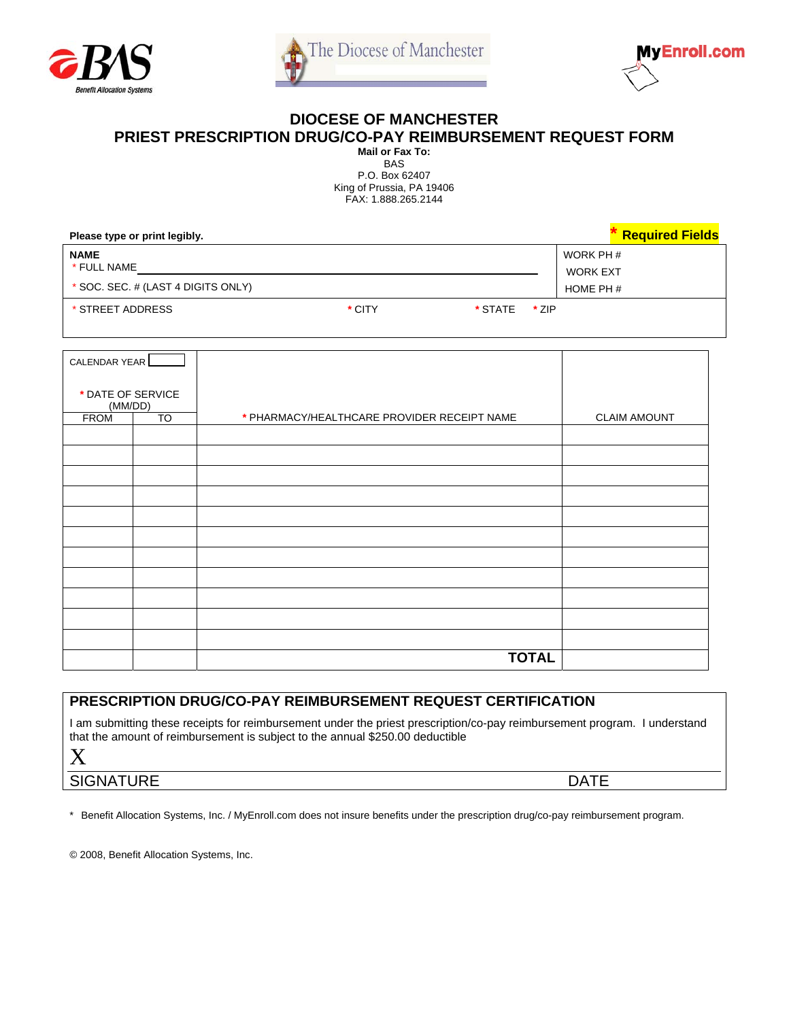



## **DIOCESE OF MANCHESTER**

**PRIEST PRESCRIPTION DRUG/CO-PAY REIMBURSEMENT REQUEST FORM** 

**Mail or Fax To:**  BAS P.O. Box 62407 King of Prussia, PA 19406 FAX: 1.888.265.2144

| Please type or print legibly.      |        |         |       | <b>Required Fields</b> |
|------------------------------------|--------|---------|-------|------------------------|
| <b>NAME</b>                        |        |         |       | WORK PH #              |
| * FULL NAME                        |        |         |       | WORK EXT               |
| * SOC. SEC. # (LAST 4 DIGITS ONLY) |        |         |       | HOME PH #              |
| * STREET ADDRESS                   | * CITY | * STATE | * ZIP |                        |

| CALENDAR YEAR                |           |                                             |                     |
|------------------------------|-----------|---------------------------------------------|---------------------|
| * DATE OF SERVICE<br>(MM/DD) |           |                                             |                     |
| <b>FROM</b>                  | <b>TO</b> | * PHARMACY/HEALTHCARE PROVIDER RECEIPT NAME | <b>CLAIM AMOUNT</b> |
|                              |           |                                             |                     |
|                              |           |                                             |                     |
|                              |           |                                             |                     |
|                              |           |                                             |                     |
|                              |           |                                             |                     |
|                              |           |                                             |                     |
|                              |           |                                             |                     |
|                              |           |                                             |                     |
|                              |           |                                             |                     |
|                              |           |                                             |                     |
|                              |           |                                             |                     |
|                              |           | <b>TOTAL</b>                                |                     |

## **PRESCRIPTION DRUG/CO-PAY REIMBURSEMENT REQUEST CERTIFICATION**

I am submitting these receipts for reimbursement under the priest prescription/co-pay reimbursement program. I understand that the amount of reimbursement is subject to the annual \$250.00 deductible

X

SIGNATURE DATE

\* Benefit Allocation Systems, Inc. / MyEnroll.com does not insure benefits under the prescription drug/co-pay reimbursement program.

© 2008, Benefit Allocation Systems, Inc.